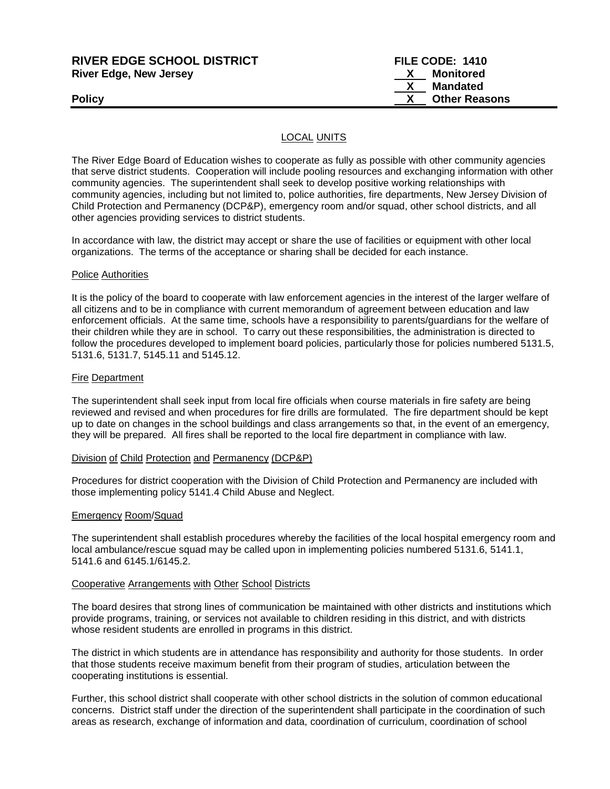| <b>RIVER EDGE SCHOOL DISTRICT</b> | FILE CODE: 1410      |
|-----------------------------------|----------------------|
| <b>River Edge, New Jersey</b>     | Monitored            |
|                                   | Mandated             |
| <b>Policy</b>                     | <b>Other Reasons</b> |
|                                   |                      |

# LOCAL UNITS

The River Edge Board of Education wishes to cooperate as fully as possible with other community agencies that serve district students. Cooperation will include pooling resources and exchanging information with other community agencies. The superintendent shall seek to develop positive working relationships with community agencies, including but not limited to, police authorities, fire departments, New Jersey Division of Child Protection and Permanency (DCP&P), emergency room and/or squad, other school districts, and all other agencies providing services to district students.

In accordance with law, the district may accept or share the use of facilities or equipment with other local organizations. The terms of the acceptance or sharing shall be decided for each instance.

### Police Authorities

It is the policy of the board to cooperate with law enforcement agencies in the interest of the larger welfare of all citizens and to be in compliance with current memorandum of agreement between education and law enforcement officials. At the same time, schools have a responsibility to parents/guardians for the welfare of their children while they are in school. To carry out these responsibilities, the administration is directed to follow the procedures developed to implement board policies, particularly those for policies numbered 5131.5, 5131.6, 5131.7, 5145.11 and 5145.12.

### Fire Department

The superintendent shall seek input from local fire officials when course materials in fire safety are being reviewed and revised and when procedures for fire drills are formulated. The fire department should be kept up to date on changes in the school buildings and class arrangements so that, in the event of an emergency, they will be prepared. All fires shall be reported to the local fire department in compliance with law.

#### Division of Child Protection and Permanency (DCP&P)

Procedures for district cooperation with the Division of Child Protection and Permanency are included with those implementing policy 5141.4 Child Abuse and Neglect.

#### Emergency Room/Squad

The superintendent shall establish procedures whereby the facilities of the local hospital emergency room and local ambulance/rescue squad may be called upon in implementing policies numbered 5131.6, 5141.1, 5141.6 and 6145.1/6145.2.

#### Cooperative Arrangements with Other School Districts

The board desires that strong lines of communication be maintained with other districts and institutions which provide programs, training, or services not available to children residing in this district, and with districts whose resident students are enrolled in programs in this district.

The district in which students are in attendance has responsibility and authority for those students. In order that those students receive maximum benefit from their program of studies, articulation between the cooperating institutions is essential.

Further, this school district shall cooperate with other school districts in the solution of common educational concerns. District staff under the direction of the superintendent shall participate in the coordination of such areas as research, exchange of information and data, coordination of curriculum, coordination of school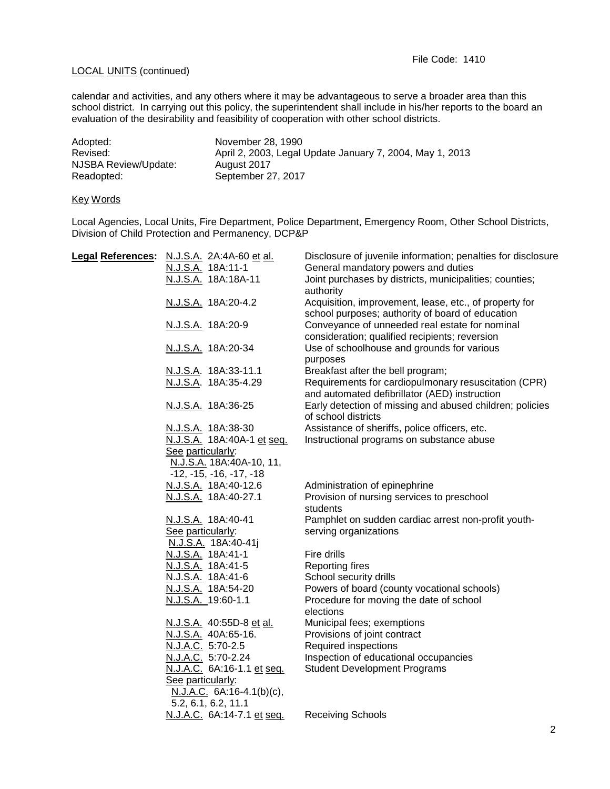# LOCAL UNITS (continued)

calendar and activities, and any others where it may be advantageous to serve a broader area than this school district. In carrying out this policy, the superintendent shall include in his/her reports to the board an evaluation of the desirability and feasibility of cooperation with other school districts.

| Adopted:             | November 28, 1990                                        |
|----------------------|----------------------------------------------------------|
| Revised:             | April 2, 2003, Legal Update January 7, 2004, May 1, 2013 |
| NJSBA Review/Update: | August 2017                                              |
| Readopted:           | September 27, 2017                                       |

## Key Words

Local Agencies, Local Units, Fire Department, Police Department, Emergency Room, Other School Districts, Division of Child Protection and Permanency, DCP&P

| Legal References: N.J.S.A. 2A:4A-60 et al. | Disclosure of juvenile information; penalties for disclosure |
|--------------------------------------------|--------------------------------------------------------------|
| N.J.S.A. 18A:11-1                          | General mandatory powers and duties                          |
| N.J.S.A. 18A:18A-11                        | Joint purchases by districts, municipalities; counties;      |
|                                            | authority                                                    |
| N.J.S.A. 18A:20-4.2                        | Acquisition, improvement, lease, etc., of property for       |
|                                            | school purposes; authority of board of education             |
| N.J.S.A. 18A:20-9                          | Conveyance of unneeded real estate for nominal               |
|                                            | consideration; qualified recipients; reversion               |
| N.J.S.A. 18A:20-34                         | Use of schoolhouse and grounds for various                   |
|                                            | purposes                                                     |
| N.J.S.A. 18A:33-11.1                       | Breakfast after the bell program;                            |
| N.J.S.A. 18A:35-4.29                       | Requirements for cardiopulmonary resuscitation (CPR)         |
|                                            | and automated defibrillator (AED) instruction                |
| N.J.S.A. 18A:36-25                         | Early detection of missing and abused children; policies     |
|                                            | of school districts                                          |
| N.J.S.A. 18A:38-30                         | Assistance of sheriffs, police officers, etc.                |
| N.J.S.A. 18A:40A-1 et seq.                 | Instructional programs on substance abuse                    |
| See particularly:                          |                                                              |
| N.J.S.A. 18A:40A-10, 11,                   |                                                              |
| $-12, -15, -16, -17, -18$                  |                                                              |
| N.J.S.A. 18A:40-12.6                       | Administration of epinephrine                                |
| N.J.S.A. 18A:40-27.1                       | Provision of nursing services to preschool                   |
|                                            | students                                                     |
| N.J.S.A. 18A:40-41                         | Pamphlet on sudden cardiac arrest non-profit youth-          |
| See particularly:                          | serving organizations                                        |
| N.J.S.A. 18A:40-41j                        |                                                              |
| N.J.S.A. 18A:41-1                          | Fire drills                                                  |
| N.J.S.A. 18A:41-5                          | <b>Reporting fires</b>                                       |
| N.J.S.A. 18A:41-6                          | School security drills                                       |
| N.J.S.A. 18A:54-20                         | Powers of board (county vocational schools)                  |
| N.J.S.A. 19:60-1.1                         | Procedure for moving the date of school                      |
|                                            | elections                                                    |
| N.J.S.A. 40:55D-8 et al.                   | Municipal fees; exemptions                                   |
| N.J.S.A. 40A:65-16.                        | Provisions of joint contract                                 |
| N.J.A.C. 5:70-2.5                          | Required inspections                                         |
| N.J.A.C. 5:70-2.24                         | Inspection of educational occupancies                        |
| N.J.A.C. 6A:16-1.1 et seq.                 | <b>Student Development Programs</b>                          |
| See particularly:                          |                                                              |
| $N.J.A.C. 6A:16-4.1(b)(c),$                |                                                              |
| 5.2, 6.1, 6.2, 11.1                        |                                                              |
| N.J.A.C. 6A:14-7.1 et seq.                 | <b>Receiving Schools</b>                                     |